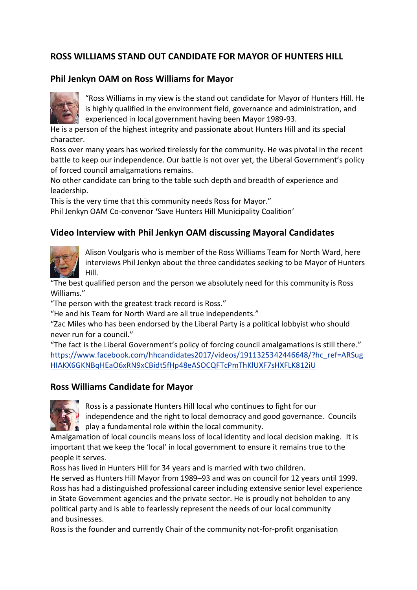# **ROSS WILLIAMS STAND OUT CANDIDATE FOR MAYOR OF HUNTERS HILL**

# **Phil Jenkyn OAM on Ross Williams for Mayor**



"Ross Williams in my view is the stand out candidate for Mayor of Hunters Hill. He is highly qualified in the environment field, governance and administration, and experienced in local government having been Mayor 1989-93.

He is a person of the highest integrity and passionate about Hunters Hill and its special character.

Ross over many years has worked tirelessly for the community. He was pivotal in the recent battle to keep our independence. Our battle is not over yet, the Liberal Government's policy of forced council amalgamations remains.

No other candidate can bring to the table such depth and breadth of experience and leadership.

This is the very time that this community needs Ross for Mayor."

Phil Jenkyn OAM Co-convenor **'**Save Hunters Hill Municipality Coalition'

### **Video Interview with Phil Jenkyn OAM discussing Mayoral Candidates**



Alison Voulgaris who is member of the Ross Williams Team for North Ward, here interviews Phil Jenkyn about the three candidates seeking to be Mayor of Hunters Hill.

"The best qualified person and the person we absolutely need for this community is Ross Williams."

"The person with the greatest track record is Ross."

"He and his Team for North Ward are all true independents."

"Zac Miles who has been endorsed by the Liberal Party is a political lobbyist who should never run for a council."

"The fact is the Liberal Government's policy of forcing council amalgamations is still there." [https://www.facebook.com/hhcandidates2017/videos/1911325342446648/?hc\\_ref=ARSug](https://www.facebook.com/hhcandidates2017/videos/1911325342446648/?hc_ref=ARSugHIAKX6GKNBqHEaO6xRN9xCBidt5fHp48eASOCQFTcPmThKlUXF7sHXFLK812iU) [HIAKX6GKNBqHEaO6xRN9xCBidt5fHp48eASOCQFTcPmThKlUXF7sHXFLK812iU](https://www.facebook.com/hhcandidates2017/videos/1911325342446648/?hc_ref=ARSugHIAKX6GKNBqHEaO6xRN9xCBidt5fHp48eASOCQFTcPmThKlUXF7sHXFLK812iU)

### **Ross Williams Candidate for Mayor**



Ross is a passionate Hunters Hill local who continues to fight for our

independence and the right to local democracy and good governance. Councils  $\bullet$  play a fundamental role within the local community.

Amalgamation of local councils means loss of local identity and local decision making. It is important that we keep the 'local' in local government to ensure it remains true to the people it serves.

Ross has lived in Hunters Hill for 34 years and is married with two children.

He served as Hunters Hill Mayor from 1989–93 and was on council for 12 years until 1999. Ross has had a distinguished professional career including extensive senior level experience in State Government agencies and the private sector. He is proudly not beholden to any political party and is able to fearlessly represent the needs of our local community and businesses.

Ross is the founder and currently Chair of the community not-for-profit organisation